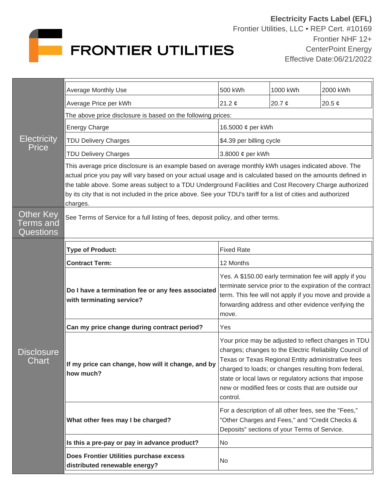

| <b>Electricity</b><br>Price                | <b>Average Monthly Use</b>                                                                                                                                                                                                                                                                                                                                                                                                                                   | 500 kWh                                                                                                                                                                                                                                                                                                                                                  | 1000 kWh    | 2000 kWh    |  |
|--------------------------------------------|--------------------------------------------------------------------------------------------------------------------------------------------------------------------------------------------------------------------------------------------------------------------------------------------------------------------------------------------------------------------------------------------------------------------------------------------------------------|----------------------------------------------------------------------------------------------------------------------------------------------------------------------------------------------------------------------------------------------------------------------------------------------------------------------------------------------------------|-------------|-------------|--|
|                                            | Average Price per kWh                                                                                                                                                                                                                                                                                                                                                                                                                                        | 21.2 $\phi$                                                                                                                                                                                                                                                                                                                                              | 20.7 $\phi$ | 20.5 $\phi$ |  |
|                                            | The above price disclosure is based on the following prices:                                                                                                                                                                                                                                                                                                                                                                                                 |                                                                                                                                                                                                                                                                                                                                                          |             |             |  |
|                                            | <b>Energy Charge</b>                                                                                                                                                                                                                                                                                                                                                                                                                                         | 16.5000 ¢ per kWh                                                                                                                                                                                                                                                                                                                                        |             |             |  |
|                                            | <b>TDU Delivery Charges</b>                                                                                                                                                                                                                                                                                                                                                                                                                                  | \$4.39 per billing cycle                                                                                                                                                                                                                                                                                                                                 |             |             |  |
|                                            | <b>TDU Delivery Charges</b>                                                                                                                                                                                                                                                                                                                                                                                                                                  | 3.8000 ¢ per kWh                                                                                                                                                                                                                                                                                                                                         |             |             |  |
|                                            | This average price disclosure is an example based on average monthly kWh usages indicated above. The<br>actual price you pay will vary based on your actual usage and is calculated based on the amounts defined in<br>the table above. Some areas subject to a TDU Underground Facilities and Cost Recovery Charge authorized<br>by its city that is not included in the price above. See your TDU's tariff for a list of cities and authorized<br>charges. |                                                                                                                                                                                                                                                                                                                                                          |             |             |  |
| Other Key<br>Terms and<br><b>Questions</b> | See Terms of Service for a full listing of fees, deposit policy, and other terms.                                                                                                                                                                                                                                                                                                                                                                            |                                                                                                                                                                                                                                                                                                                                                          |             |             |  |
| <b>Disclosure</b><br>${\sf Chart}$         | <b>Type of Product:</b>                                                                                                                                                                                                                                                                                                                                                                                                                                      | <b>Fixed Rate</b>                                                                                                                                                                                                                                                                                                                                        |             |             |  |
|                                            | <b>Contract Term:</b>                                                                                                                                                                                                                                                                                                                                                                                                                                        | 12 Months                                                                                                                                                                                                                                                                                                                                                |             |             |  |
|                                            | Do I have a termination fee or any fees associated<br>with terminating service?                                                                                                                                                                                                                                                                                                                                                                              | Yes. A \$150.00 early termination fee will apply if you<br>terminate service prior to the expiration of the contract<br>term. This fee will not apply if you move and provide a<br>forwarding address and other evidence verifying the<br>move.                                                                                                          |             |             |  |
|                                            | Can my price change during contract period?                                                                                                                                                                                                                                                                                                                                                                                                                  | Yes                                                                                                                                                                                                                                                                                                                                                      |             |             |  |
|                                            | If my price can change, how will it change, and by<br>how much?                                                                                                                                                                                                                                                                                                                                                                                              | Your price may be adjusted to reflect changes in TDU<br>charges; changes to the Electric Reliability Council of<br>Texas or Texas Regional Entity administrative fees<br>charged to loads; or changes resulting from federal,<br>state or local laws or regulatory actions that impose<br>new or modified fees or costs that are outside our<br>control. |             |             |  |
|                                            | What other fees may I be charged?                                                                                                                                                                                                                                                                                                                                                                                                                            | For a description of all other fees, see the "Fees,"<br>"Other Charges and Fees," and "Credit Checks &<br>Deposits" sections of your Terms of Service.                                                                                                                                                                                                   |             |             |  |
|                                            | Is this a pre-pay or pay in advance product?                                                                                                                                                                                                                                                                                                                                                                                                                 | No.                                                                                                                                                                                                                                                                                                                                                      |             |             |  |
|                                            | Does Frontier Utilities purchase excess<br>distributed renewable energy?                                                                                                                                                                                                                                                                                                                                                                                     | No                                                                                                                                                                                                                                                                                                                                                       |             |             |  |